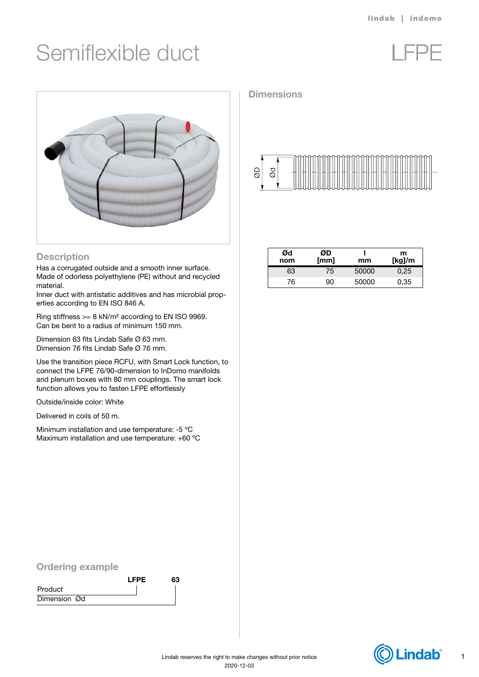# Semiflexible duct LFPE





### **Description**

Has a corrugated outside and a smooth inner surface. Made of odorless polyethylene (PE) without and recycled material.

Inner duct with antistatic additives and has microbial properties according to EN ISO 846 A.

Ring stiffness >= 8 kN/m² according to EN ISO 9969. Can be bent to a radius of minimum 150 mm.

Dimension 63 fits Lindab Safe Ø 63 mm. Dimension 76 fits Lindab Safe Ø 76 mm.

Use the transition piece RCFU, with Smart Lock function, to connect the LFPE 76/90-dimension to InDomo manifolds and plenum boxes with 80 mm couplings. The smart lock function allows you to fasten LFPE effortlessly

Outside/inside color: White

Delivered in coils of 50 m.

Minimum installation and use temperature: -5 ºC Maximum installation and use temperature: +60 ºC

## **Dimensions**



| Ød<br>nom | ØD<br>[mm] | mm    | m<br>[kg]/m |
|-----------|------------|-------|-------------|
| 63        | 75         | 50000 | 0.25        |
| 76        | 90         | 50000 | 0,35        |

### Ordering example

|              | <b>LFPE</b> | 63 |
|--------------|-------------|----|
| Product      |             |    |
| Dimension Ød |             |    |